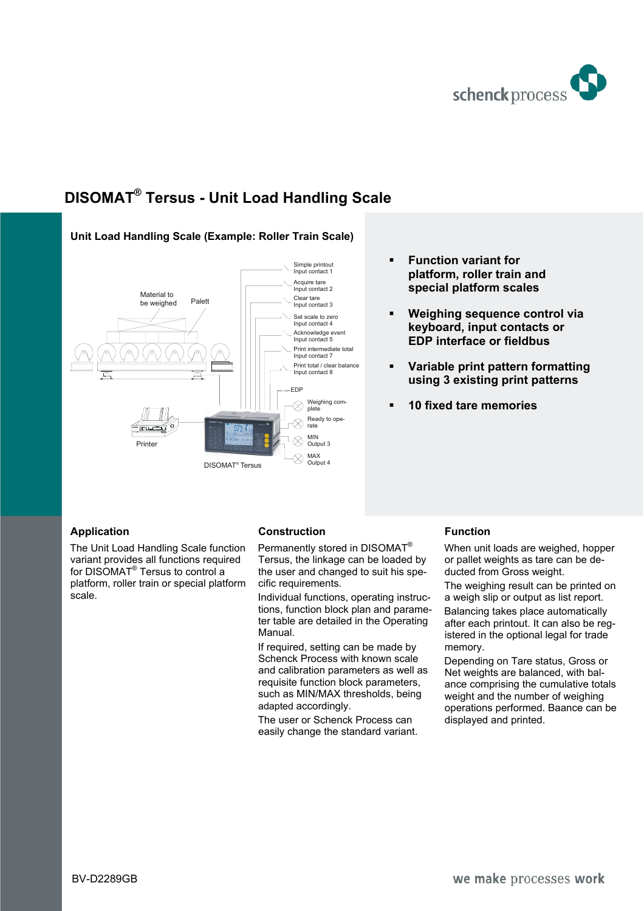

# **DISOMAT® Tersus - Unit Load Handling Scale**



# **Unit Load Handling Scale (Example: Roller Train Scale)**

## **Application**

The Unit Load Handling Scale function variant provides all functions required for DISOMAT® Tersus to control a platform, roller train or special platform scale.

# **Construction**

Permanently stored in DISOMAT® Tersus, the linkage can be loaded by the user and changed to suit his specific requirements.

Individual functions, operating instructions, function block plan and parameter table are detailed in the Operating Manual.

If required, setting can be made by Schenck Process with known scale and calibration parameters as well as requisite function block parameters, such as MIN/MAX thresholds, being adapted accordingly.

The user or Schenck Process can easily change the standard variant.

# **Function**

**Function variant for** 

**platform, roller train and special platform scales** 

 **Weighing sequence control via keyboard, input contacts or EDP interface or fieldbus** 

 **Variable print pattern formatting using 3 existing print patterns** 

**10 fixed tare memories** 

When unit loads are weighed, hopper or pallet weights as tare can be deducted from Gross weight.

The weighing result can be printed on a weigh slip or output as list report.

Balancing takes place automatically after each printout. It can also be registered in the optional legal for trade memory.

Depending on Tare status, Gross or Net weights are balanced, with balance comprising the cumulative totals weight and the number of weighing operations performed. Baance can be displayed and printed.